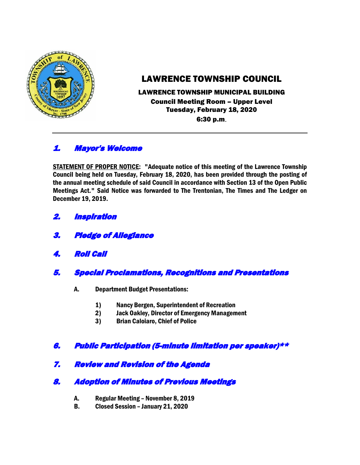

# LAWRENCE TOWNSHIP COUNCIL

### LAWRENCE TOWNSHIP MUNICIPAL BUILDING Council Meeting Room – Upper Level Tuesday, February 18, 2020 6:30 p.m.

# 1. Mayor's Welcome

STATEMENT OF PROPER NOTICE: "Adequate notice of this meeting of the Lawrence Township Council being held on Tuesday, February 18, 2020, has been provided through the posting of the annual meeting schedule of said Council in accordance with Section 13 of the Open Public Meetings Act." Said Notice was forwarded to The Trentonian, The Times and The Ledger on December 19, 2019.

- 2. Inspiration
- 3. Pledge of Allegiance
- 4. Roll Call
- 5. Special Proclamations, Recognitions and Presentations
	- A. Department Budget Presentations:
		- 1) Nancy Bergen, Superintendent of Recreation
		- 2) Jack Oakley, Director of Emergency Management
		- 3) Brian Caloiaro, Chief of Police

# 6. Public Participation (5-minute limitation per speaker)\*\*

# 7. Review and Revision of the Agenda

# 8. Adoption of Minutes of Previous Meetings

- A. Regular Meeting November 8, 2019
- B. Closed Session January 21, 2020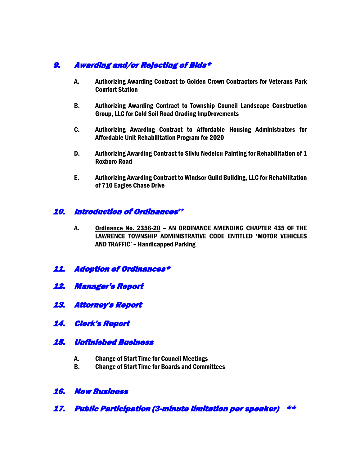# 9. Awarding and/or Rejecting of Bids\*

- A. Authorizing Awarding Contract to Golden Crown Contractors for Veterans Park Comfort Station
- B. Authorizing Awarding Contract to Township Council Landscape Construction Group, LLC for Cold Soil Road Grading Imp0rovements
- C. Authorizing Awarding Contract to Affordable Housing Administrators for Affordable Unit Rehabilitation Program for 2020
- D. Authorizing Awarding Contract to Silviu Nedelcu Painting for Rehabilitation of 1 Roxboro Road
- E. Authorizing Awarding Contract to Windsor Guild Building, LLC for Rehabilitation of 710 Eagles Chase Drive

### 10. Introduction of Ordinances**\*\***

- A. Ordinance No. 2356-20 AN ORDINANCE AMENDING CHAPTER 435 OF THE LAWRENCE TOWNSHIP ADMINISTRATIVE CODE ENTITLED 'MOTOR VEHICLES AND TRAFFIC' – Handicapped Parking
- 11. Adoption of Ordinances\*
- 12. Manager's Report
- 13. Attorney's Report
- 14. Clerk's Report
- 15. Unfinished Business
	- A. Change of Start Time for Council Meetings
	- B. Change of Start Time for Boards and Committees

#### 16. New Business

17. Public Participation (3-minute limitation per speaker) \*\*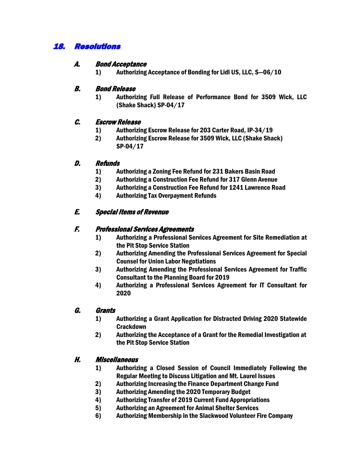# 18. Resolutions

#### A. Bond Acceptance

1) Authorizing Acceptance of Bonding for Lidl US, LLC, S—06/10

#### B. Bond Release

1) Authorizing Full Release of Performance Bond for 3509 Wick, LLC (Shake Shack) SP-04/17

#### C. Escrow Release

- 1) Authorizing Escrow Release for 203 Carter Road, IP-34/19
- 2) Authorizing Escrow Release for 3509 Wick, LLC (Shake Shack) SP-04/17

#### D. Refunds

- 1) Authorizing a Zoning Fee Refund for 231 Bakers Basin Road
- 2) Authorizing a Construction Fee Refund for 317 Glenn Avenue
- 3) Authorizing a Construction Fee Refund for 1241 Lawrence Road
- 4) Authorizing Tax Overpayment Refunds

### E. Special Items of Revenue

### F. Professional Services Agreements

- 1) Authorizing a Professional Services Agreement for Site Remediation at the Pit Stop Service Station
- 2) Authorizing Amending the Professional Services Agreement for Special Counsel for Union Labor Negotiations
- 3) Authorizing Amending the Professional Services Agreement for Traffic Consultant to the Planning Board for 2019
- 4) Authorizing a Professional Services Agreement for IT Consultant for 2020

### G. Grants

- 1) Authorizing a Grant Application for Distracted Driving 2020 Statewide **Crackdown**
- 2) Authorizing the Acceptance of a Grant for the Remedial Investigation at the Pit Stop Service Station

#### H. Miscellaneous

- 1) Authorizing a Closed Session of Council Immediately Following the Regular Meeting to Discuss Litigation and Mt. Laurel Issues
- 2) Authorizing Increasing the Finance Department Change Fund
- 3) Authorizing Amending the 2020 Temporary Budget
- 4) Authorizing Transfer of 2019 Current Fund Appropriations
- 5) Authorizing an Agreement for Animal Shelter Services
- 6) Authorizing Membership in the Slackwood Volunteer Fire Company